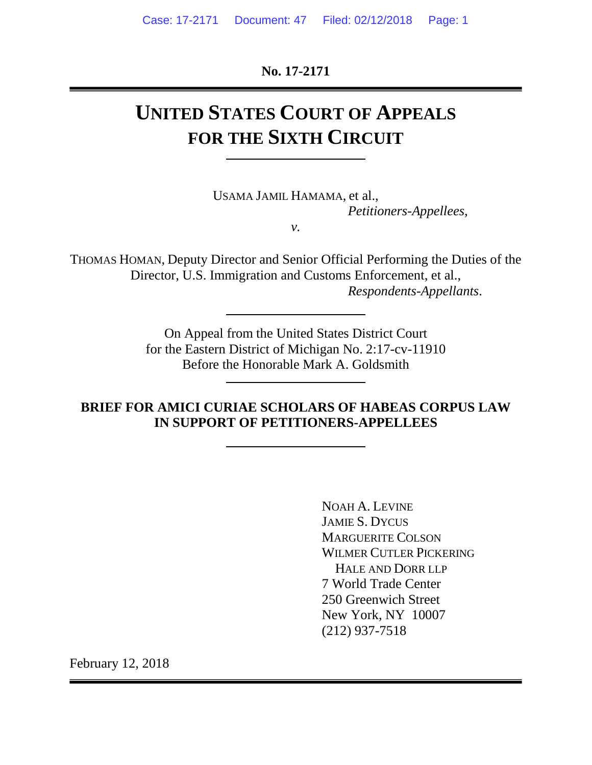**No. 17-2171**

# **UNITED STATES COURT OF APPEALS FOR THE SIXTH CIRCUIT**

USAMA JAMIL HAMAMA, et al., *Petitioners-Appellees*, *v.*

THOMAS HOMAN, Deputy Director and Senior Official Performing the Duties of the Director, U.S. Immigration and Customs Enforcement, et al.,

*Respondents-Appellants*.

On Appeal from the United States District Court for the Eastern District of Michigan No. 2:17-cv-11910 Before the Honorable Mark A. Goldsmith

**BRIEF FOR AMICI CURIAE SCHOLARS OF HABEAS CORPUS LAW IN SUPPORT OF PETITIONERS-APPELLEES**

> NOAH A. LEVINE JAMIE S. DYCUS MARGUERITE COLSON WILMER CUTLER PICKERING HALE AND DORR LLP 7 World Trade Center 250 Greenwich Street New York, NY 10007 (212) 937-7518

February 12, 2018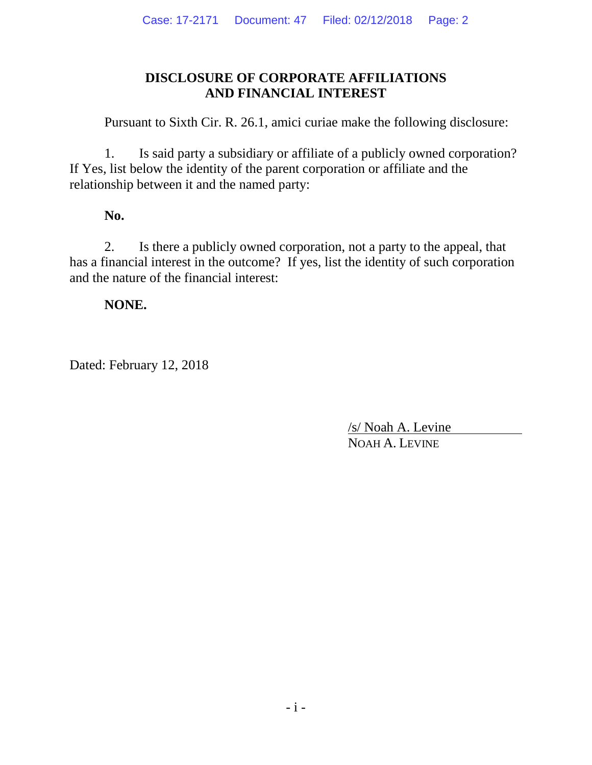# **DISCLOSURE OF CORPORATE AFFILIATIONS AND FINANCIAL INTEREST**

Pursuant to Sixth Cir. R. 26.1, amici curiae make the following disclosure:

1. Is said party a subsidiary or affiliate of a publicly owned corporation? If Yes, list below the identity of the parent corporation or affiliate and the relationship between it and the named party:

# **No.**

2. Is there a publicly owned corporation, not a party to the appeal, that has a financial interest in the outcome? If yes, list the identity of such corporation and the nature of the financial interest:

# **NONE.**

Dated: February 12, 2018

/s/ Noah A. Levine NOAH A. LEVINE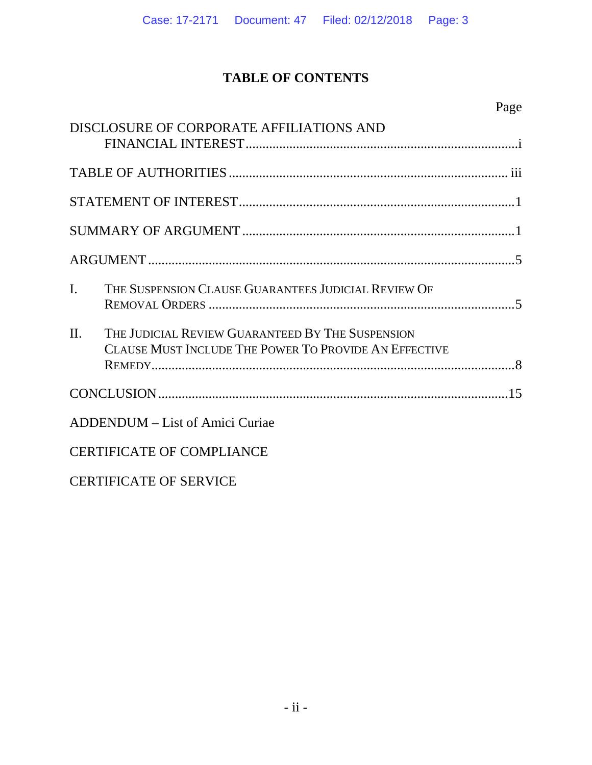# **TABLE OF CONTENTS**

|                | DISCLOSURE OF CORPORATE AFFILIATIONS AND                                                                  |  |
|----------------|-----------------------------------------------------------------------------------------------------------|--|
|                |                                                                                                           |  |
|                |                                                                                                           |  |
|                |                                                                                                           |  |
|                |                                                                                                           |  |
| $\mathbf{I}$ . | THE SUSPENSION CLAUSE GUARANTEES JUDICIAL REVIEW OF                                                       |  |
| $\Pi$ .        | THE JUDICIAL REVIEW GUARANTEED BY THE SUSPENSION<br>CLAUSE MUST INCLUDE THE POWER TO PROVIDE AN EFFECTIVE |  |
|                |                                                                                                           |  |
|                | <b>ADDENDUM</b> – List of Amici Curiae                                                                    |  |
|                | <b>CERTIFICATE OF COMPLIANCE</b>                                                                          |  |
|                | <b>CERTIFICATE OF SERVICE</b>                                                                             |  |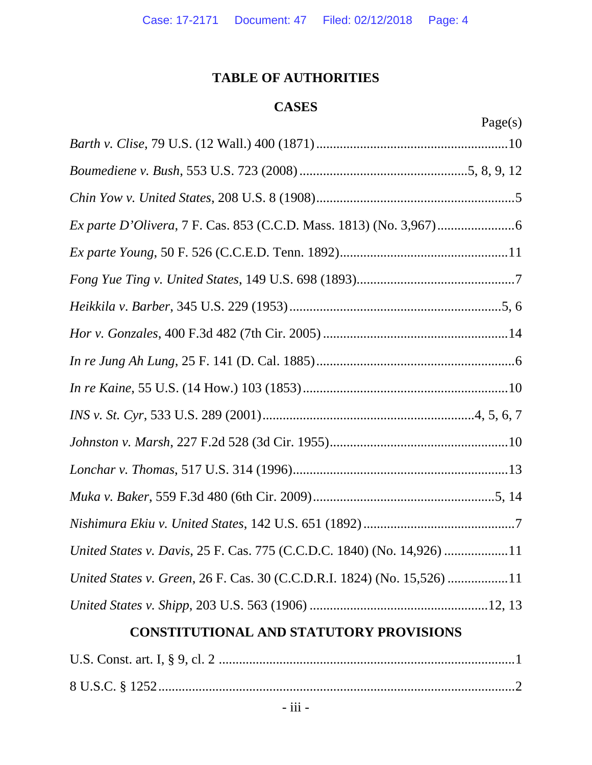# **TABLE OF AUTHORITIES**

# **CASES**

| 10e/<br>S<br>г. |
|-----------------|
|-----------------|

| United States v. Davis, 25 F. Cas. 775 (C.C.D.C. 1840) (No. 14,926) 11  |  |
|-------------------------------------------------------------------------|--|
| United States v. Green, 26 F. Cas. 30 (C.C.D.R.I. 1824) (No. 15,526) 11 |  |
|                                                                         |  |

# **CONSTITUTIONAL AND STATUTORY PROVISIONS**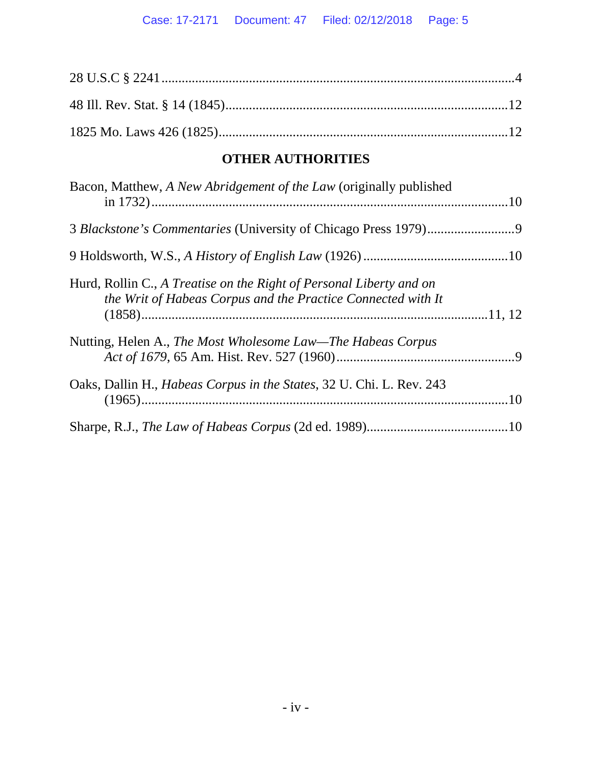# **OTHER AUTHORITIES**

| Bacon, Matthew, A New Abridgement of the Law (originally published                                                                  |  |
|-------------------------------------------------------------------------------------------------------------------------------------|--|
|                                                                                                                                     |  |
|                                                                                                                                     |  |
| Hurd, Rollin C., A Treatise on the Right of Personal Liberty and on<br>the Writ of Habeas Corpus and the Practice Connected with It |  |
| Nutting, Helen A., The Most Wholesome Law—The Habeas Corpus                                                                         |  |
| Oaks, Dallin H., Habeas Corpus in the States, 32 U. Chi. L. Rev. 243                                                                |  |
|                                                                                                                                     |  |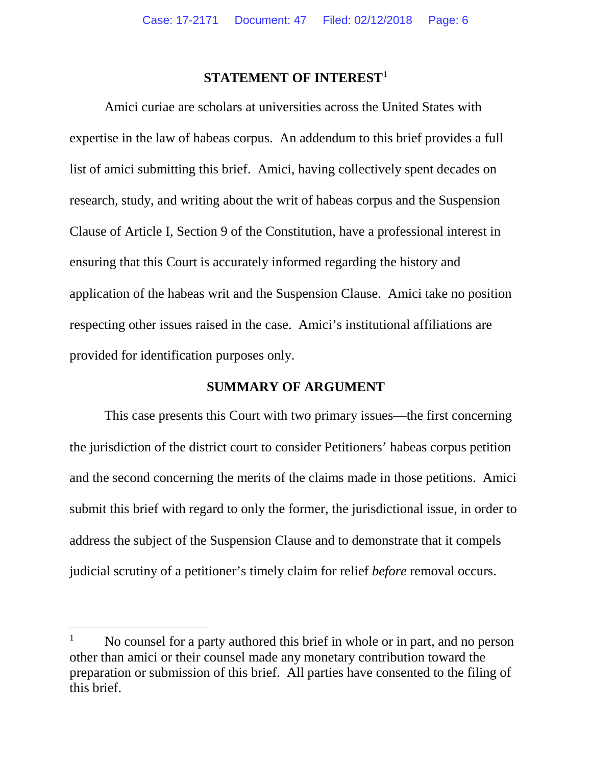#### **STATEMENT OF INTEREST**[1](#page-5-0)

Amici curiae are scholars at universities across the United States with expertise in the law of habeas corpus. An addendum to this brief provides a full list of amici submitting this brief. Amici, having collectively spent decades on research, study, and writing about the writ of habeas corpus and the Suspension Clause of Article I, Section 9 of the Constitution, have a professional interest in ensuring that this Court is accurately informed regarding the history and application of the habeas writ and the Suspension Clause. Amici take no position respecting other issues raised in the case. Amici's institutional affiliations are provided for identification purposes only.

### **SUMMARY OF ARGUMENT**

This case presents this Court with two primary issues—the first concerning the jurisdiction of the district court to consider Petitioners' habeas corpus petition and the second concerning the merits of the claims made in those petitions. Amici submit this brief with regard to only the former, the jurisdictional issue, in order to address the subject of the Suspension Clause and to demonstrate that it compels judicial scrutiny of a petitioner's timely claim for relief *before* removal occurs.

<span id="page-5-0"></span><sup>&</sup>lt;sup>1</sup> No counsel for a party authored this brief in whole or in part, and no person other than amici or their counsel made any monetary contribution toward the preparation or submission of this brief. All parties have consented to the filing of this brief.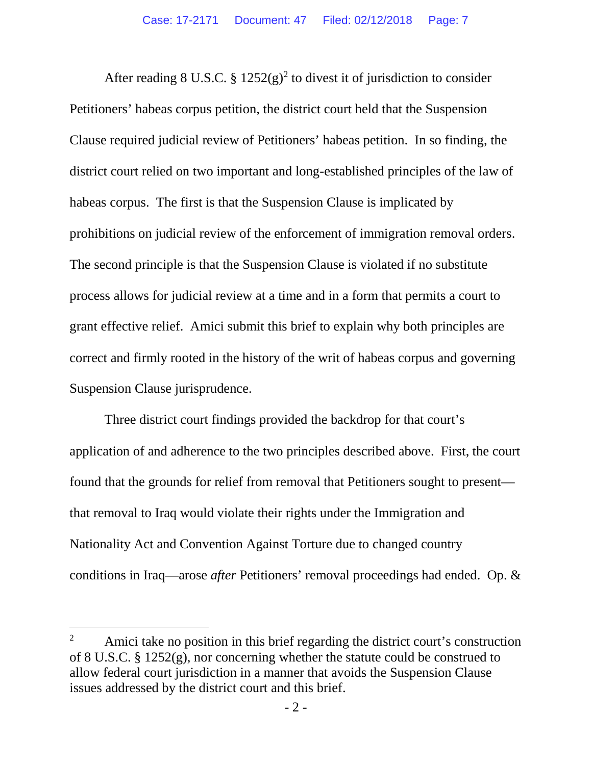After reading 8 U.S.C. §  $1252(g)^2$  $1252(g)^2$  $1252(g)^2$  to divest it of jurisdiction to consider Petitioners' habeas corpus petition, the district court held that the Suspension Clause required judicial review of Petitioners' habeas petition. In so finding, the district court relied on two important and long-established principles of the law of habeas corpus. The first is that the Suspension Clause is implicated by prohibitions on judicial review of the enforcement of immigration removal orders. The second principle is that the Suspension Clause is violated if no substitute process allows for judicial review at a time and in a form that permits a court to grant effective relief. Amici submit this brief to explain why both principles are correct and firmly rooted in the history of the writ of habeas corpus and governing Suspension Clause jurisprudence.

Three district court findings provided the backdrop for that court's application of and adherence to the two principles described above. First, the court found that the grounds for relief from removal that Petitioners sought to present that removal to Iraq would violate their rights under the Immigration and Nationality Act and Convention Against Torture due to changed country conditions in Iraq—arose *after* Petitioners' removal proceedings had ended. Op. &

<span id="page-6-0"></span><sup>&</sup>lt;sup>2</sup> Amici take no position in this brief regarding the district court's construction of 8 U.S.C. § 1252(g), nor concerning whether the statute could be construed to allow federal court jurisdiction in a manner that avoids the Suspension Clause issues addressed by the district court and this brief.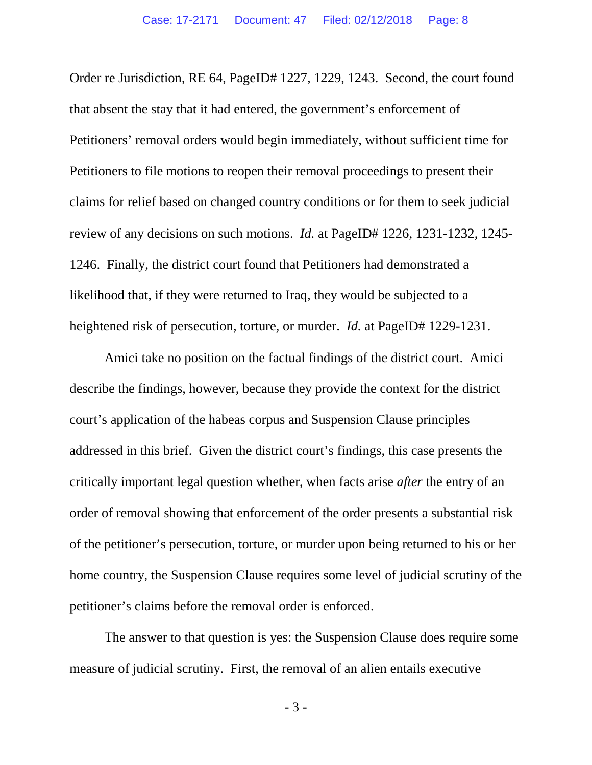Order re Jurisdiction, RE 64, PageID# 1227, 1229, 1243. Second, the court found that absent the stay that it had entered, the government's enforcement of Petitioners' removal orders would begin immediately, without sufficient time for Petitioners to file motions to reopen their removal proceedings to present their claims for relief based on changed country conditions or for them to seek judicial review of any decisions on such motions. *Id.* at PageID# 1226, 1231-1232, 1245- 1246. Finally, the district court found that Petitioners had demonstrated a likelihood that, if they were returned to Iraq, they would be subjected to a heightened risk of persecution, torture, or murder. *Id.* at PageID# 1229-1231.

Amici take no position on the factual findings of the district court. Amici describe the findings, however, because they provide the context for the district court's application of the habeas corpus and Suspension Clause principles addressed in this brief. Given the district court's findings, this case presents the critically important legal question whether, when facts arise *after* the entry of an order of removal showing that enforcement of the order presents a substantial risk of the petitioner's persecution, torture, or murder upon being returned to his or her home country, the Suspension Clause requires some level of judicial scrutiny of the petitioner's claims before the removal order is enforced.

The answer to that question is yes: the Suspension Clause does require some measure of judicial scrutiny. First, the removal of an alien entails executive

- 3 -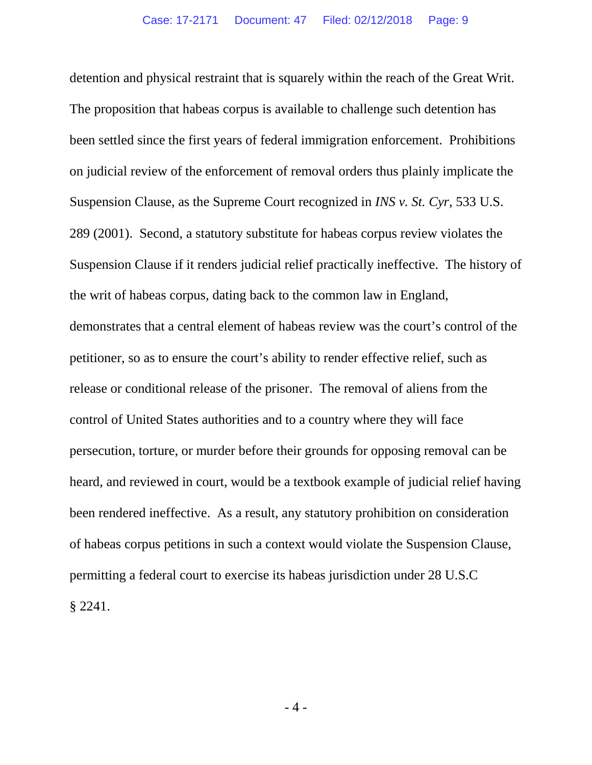detention and physical restraint that is squarely within the reach of the Great Writ. The proposition that habeas corpus is available to challenge such detention has been settled since the first years of federal immigration enforcement. Prohibitions on judicial review of the enforcement of removal orders thus plainly implicate the Suspension Clause, as the Supreme Court recognized in *INS v. St. Cyr*, 533 U.S. 289 (2001). Second, a statutory substitute for habeas corpus review violates the Suspension Clause if it renders judicial relief practically ineffective. The history of the writ of habeas corpus, dating back to the common law in England, demonstrates that a central element of habeas review was the court's control of the petitioner, so as to ensure the court's ability to render effective relief, such as release or conditional release of the prisoner. The removal of aliens from the control of United States authorities and to a country where they will face persecution, torture, or murder before their grounds for opposing removal can be heard, and reviewed in court, would be a textbook example of judicial relief having been rendered ineffective. As a result, any statutory prohibition on consideration of habeas corpus petitions in such a context would violate the Suspension Clause, permitting a federal court to exercise its habeas jurisdiction under 28 U.S.C § 2241.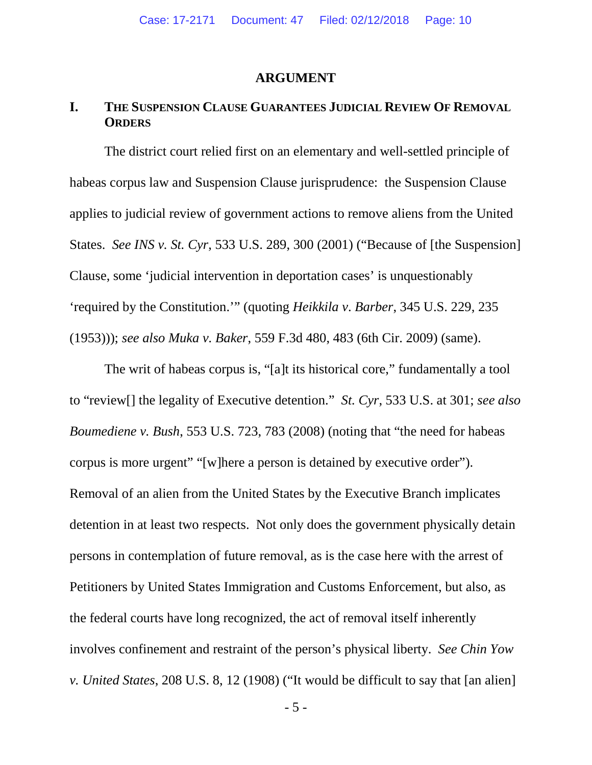#### **ARGUMENT**

### **I. THE SUSPENSION CLAUSE GUARANTEES JUDICIAL REVIEW OF REMOVAL ORDERS**

The district court relied first on an elementary and well-settled principle of habeas corpus law and Suspension Clause jurisprudence: the Suspension Clause applies to judicial review of government actions to remove aliens from the United States. *See INS v. St. Cyr*, 533 U.S. 289, 300 (2001) ("Because of [the Suspension] Clause, some 'judicial intervention in deportation cases' is unquestionably 'required by the Constitution.'" (quoting *Heikkila v*. *Barber*, 345 U.S. 229, 235 (1953))); *see also Muka v. Baker*, 559 F.3d 480, 483 (6th Cir. 2009) (same).

The writ of habeas corpus is, "[a]t its historical core," fundamentally a tool to "review[] the legality of Executive detention." *St. Cyr*, 533 U.S. at 301; *see also Boumediene v. Bush*, 553 U.S. 723, 783 (2008) (noting that "the need for habeas corpus is more urgent" "[w]here a person is detained by executive order"). Removal of an alien from the United States by the Executive Branch implicates detention in at least two respects. Not only does the government physically detain persons in contemplation of future removal, as is the case here with the arrest of Petitioners by United States Immigration and Customs Enforcement, but also, as the federal courts have long recognized, the act of removal itself inherently involves confinement and restraint of the person's physical liberty. *See Chin Yow v. United States*, 208 U.S. 8, 12 (1908) ("It would be difficult to say that [an alien]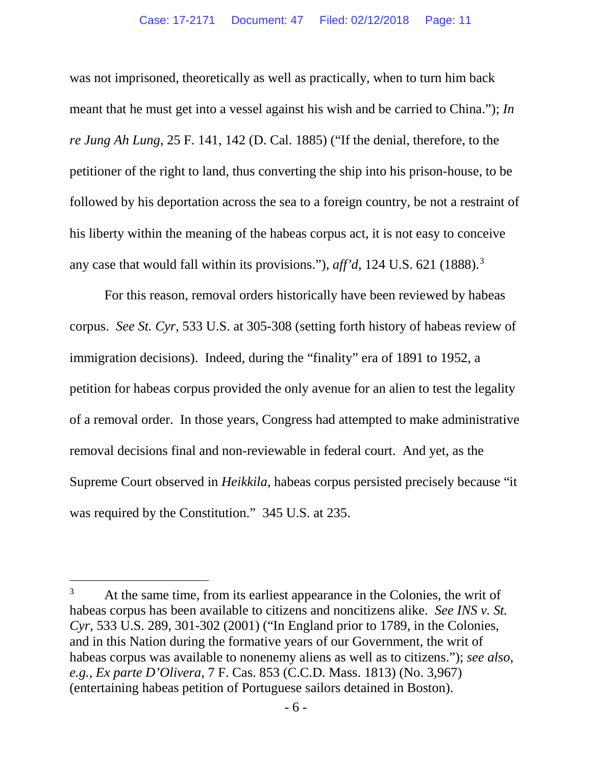was not imprisoned, theoretically as well as practically, when to turn him back meant that he must get into a vessel against his wish and be carried to China."); *In re Jung Ah Lung*, 25 F. 141, 142 (D. Cal. 1885) ("If the denial, therefore, to the petitioner of the right to land, thus converting the ship into his prison-house, to be followed by his deportation across the sea to a foreign country, be not a restraint of his liberty within the meaning of the habeas corpus act, it is not easy to conceive any case that would fall within its provisions."), *aff'd*, 124 U.S. 621 (1888).<sup>[3](#page-10-0)</sup>

For this reason, removal orders historically have been reviewed by habeas corpus. *See St. Cyr*, 533 U.S. at 305-308 (setting forth history of habeas review of immigration decisions). Indeed, during the "finality" era of 1891 to 1952, a petition for habeas corpus provided the only avenue for an alien to test the legality of a removal order. In those years, Congress had attempted to make administrative removal decisions final and non-reviewable in federal court. And yet, as the Supreme Court observed in *Heikkila*, habeas corpus persisted precisely because "it was required by the Constitution." 345 U.S. at 235.

<span id="page-10-0"></span><sup>&</sup>lt;sup>3</sup> At the same time, from its earliest appearance in the Colonies, the writ of habeas corpus has been available to citizens and noncitizens alike. *See INS v. St. Cyr*, 533 U.S. 289, 301-302 (2001) ("In England prior to 1789, in the Colonies, and in this Nation during the formative years of our Government, the writ of habeas corpus was available to nonenemy aliens as well as to citizens."); *see also, e.g.*, *Ex parte D'Olivera*, 7 F. Cas. 853 (C.C.D. Mass. 1813) (No. 3,967) (entertaining habeas petition of Portuguese sailors detained in Boston).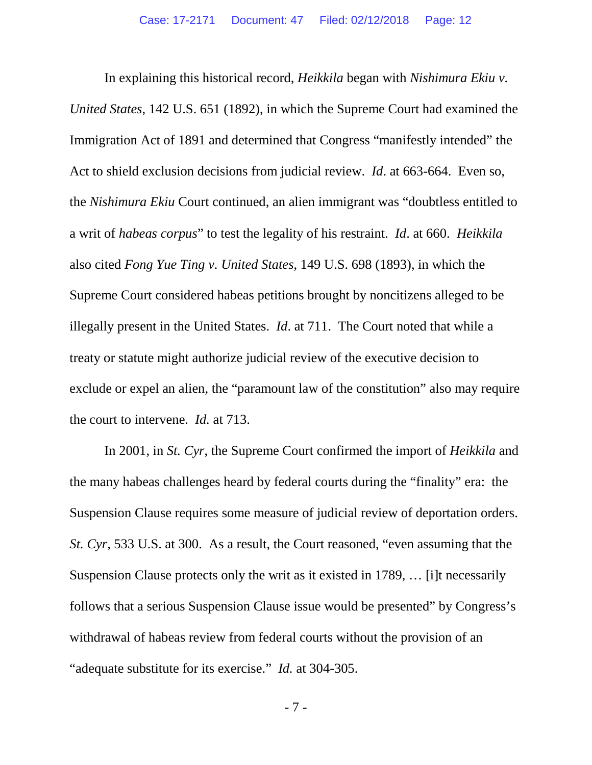In explaining this historical record, *Heikkila* began with *Nishimura Ekiu v. United States*, 142 U.S. 651 (1892), in which the Supreme Court had examined the Immigration Act of 1891 and determined that Congress "manifestly intended" the Act to shield exclusion decisions from judicial review. *Id*. at 663-664. Even so, the *Nishimura Ekiu* Court continued, an alien immigrant was "doubtless entitled to a writ of *habeas corpus*" to test the legality of his restraint. *Id*. at 660. *Heikkila*  also cited *Fong Yue Ting v. United States*, 149 U.S. 698 (1893), in which the Supreme Court considered habeas petitions brought by noncitizens alleged to be illegally present in the United States. *Id*. at 711. The Court noted that while a treaty or statute might authorize judicial review of the executive decision to exclude or expel an alien, the "paramount law of the constitution" also may require the court to intervene. *Id.* at 713.

In 2001, in *St. Cyr*, the Supreme Court confirmed the import of *Heikkila* and the many habeas challenges heard by federal courts during the "finality" era: the Suspension Clause requires some measure of judicial review of deportation orders. *St. Cyr*, 533 U.S. at 300. As a result, the Court reasoned, "even assuming that the Suspension Clause protects only the writ as it existed in 1789, … [i]t necessarily follows that a serious Suspension Clause issue would be presented" by Congress's withdrawal of habeas review from federal courts without the provision of an "adequate substitute for its exercise." *Id.* at 304-305.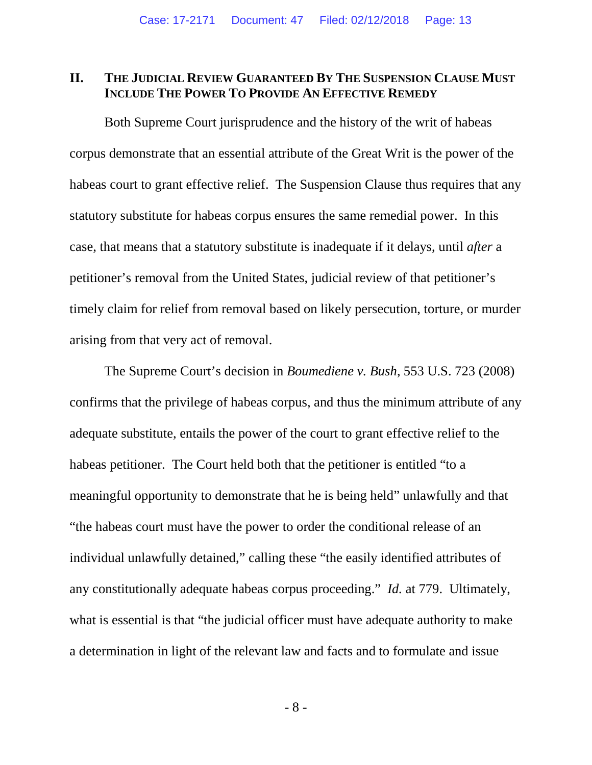### **II. THE JUDICIAL REVIEW GUARANTEED BY THE SUSPENSION CLAUSE MUST INCLUDE THE POWER TO PROVIDE AN EFFECTIVE REMEDY**

Both Supreme Court jurisprudence and the history of the writ of habeas corpus demonstrate that an essential attribute of the Great Writ is the power of the habeas court to grant effective relief. The Suspension Clause thus requires that any statutory substitute for habeas corpus ensures the same remedial power. In this case, that means that a statutory substitute is inadequate if it delays, until *after* a petitioner's removal from the United States, judicial review of that petitioner's timely claim for relief from removal based on likely persecution, torture, or murder arising from that very act of removal.

The Supreme Court's decision in *Boumediene v. Bush*, 553 U.S. 723 (2008) confirms that the privilege of habeas corpus, and thus the minimum attribute of any adequate substitute, entails the power of the court to grant effective relief to the habeas petitioner. The Court held both that the petitioner is entitled "to a meaningful opportunity to demonstrate that he is being held" unlawfully and that "the habeas court must have the power to order the conditional release of an individual unlawfully detained," calling these "the easily identified attributes of any constitutionally adequate habeas corpus proceeding." *Id.* at 779. Ultimately, what is essential is that "the judicial officer must have adequate authority to make a determination in light of the relevant law and facts and to formulate and issue

- 8 -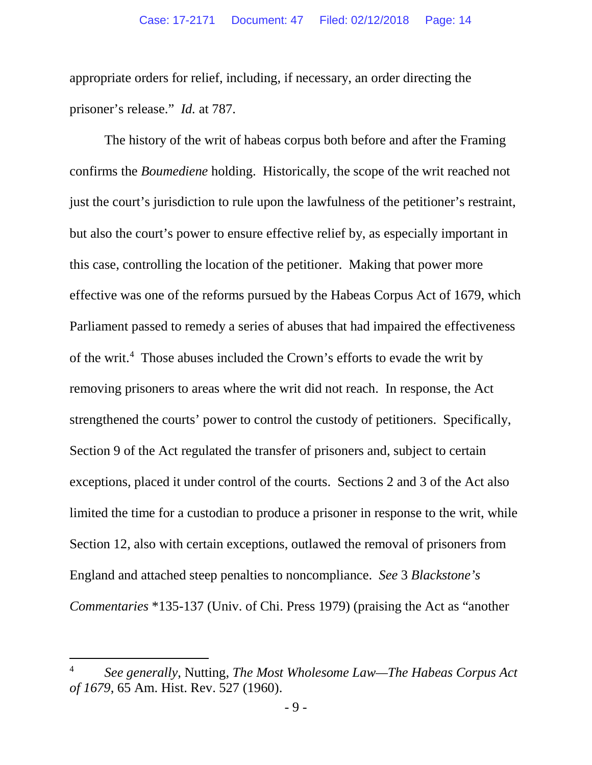appropriate orders for relief, including, if necessary, an order directing the prisoner's release." *Id.* at 787.

The history of the writ of habeas corpus both before and after the Framing confirms the *Boumediene* holding. Historically, the scope of the writ reached not just the court's jurisdiction to rule upon the lawfulness of the petitioner's restraint, but also the court's power to ensure effective relief by, as especially important in this case, controlling the location of the petitioner. Making that power more effective was one of the reforms pursued by the Habeas Corpus Act of 1679, which Parliament passed to remedy a series of abuses that had impaired the effectiveness of the writ.<sup>[4](#page-13-0)</sup> Those abuses included the Crown's efforts to evade the writ by removing prisoners to areas where the writ did not reach. In response, the Act strengthened the courts' power to control the custody of petitioners. Specifically, Section 9 of the Act regulated the transfer of prisoners and, subject to certain exceptions, placed it under control of the courts. Sections 2 and 3 of the Act also limited the time for a custodian to produce a prisoner in response to the writ, while Section 12, also with certain exceptions, outlawed the removal of prisoners from England and attached steep penalties to noncompliance. *See* 3 *Blackstone's Commentaries* \*135-137 (Univ. of Chi. Press 1979) (praising the Act as "another

<span id="page-13-0"></span> <sup>4</sup> *See generally*, Nutting, *The Most Wholesome Law—The Habeas Corpus Act of 1679*, 65 Am. Hist. Rev. 527 (1960).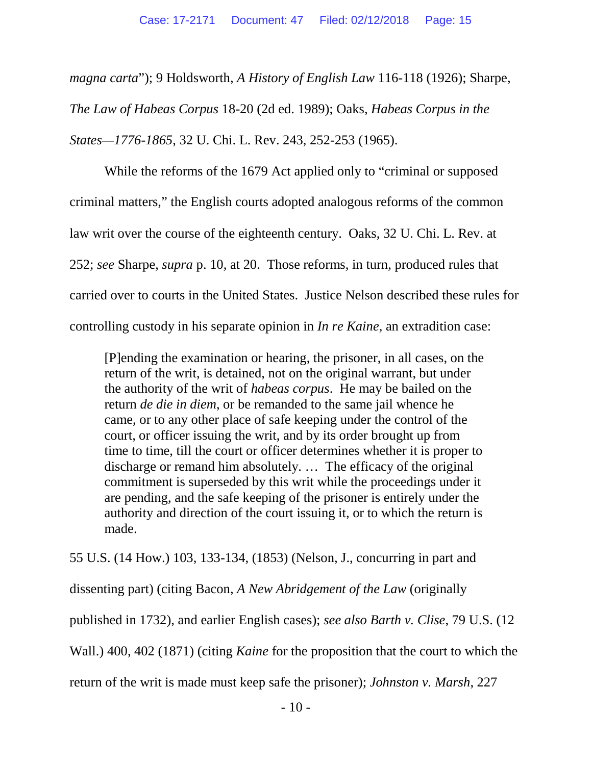*magna carta*"); 9 Holdsworth, *A History of English Law* 116-118 (1926); Sharpe, *The Law of Habeas Corpus* 18-20 (2d ed. 1989); Oaks, *Habeas Corpus in the States—1776-1865*, 32 U. Chi. L. Rev. 243, 252-253 (1965).

While the reforms of the 1679 Act applied only to "criminal or supposed criminal matters," the English courts adopted analogous reforms of the common law writ over the course of the eighteenth century. Oaks, 32 U. Chi. L. Rev. at 252; *see* Sharpe, *supra* p. 10, at 20. Those reforms, in turn, produced rules that carried over to courts in the United States. Justice Nelson described these rules for controlling custody in his separate opinion in *In re Kaine*, an extradition case:

[P]ending the examination or hearing, the prisoner, in all cases, on the return of the writ, is detained, not on the original warrant, but under the authority of the writ of *habeas corpus*. He may be bailed on the return *de die in diem*, or be remanded to the same jail whence he came, or to any other place of safe keeping under the control of the court, or officer issuing the writ, and by its order brought up from time to time, till the court or officer determines whether it is proper to discharge or remand him absolutely. … The efficacy of the original commitment is superseded by this writ while the proceedings under it are pending, and the safe keeping of the prisoner is entirely under the authority and direction of the court issuing it, or to which the return is made.

55 U.S. (14 How.) 103, 133-134, (1853) (Nelson, J., concurring in part and

dissenting part) (citing Bacon, *A New Abridgement of the Law* (originally

published in 1732), and earlier English cases); *see also Barth v. Clise*, 79 U.S. (12

Wall.) 400, 402 (1871) (citing *Kaine* for the proposition that the court to which the

return of the writ is made must keep safe the prisoner); *Johnston v. Marsh*, 227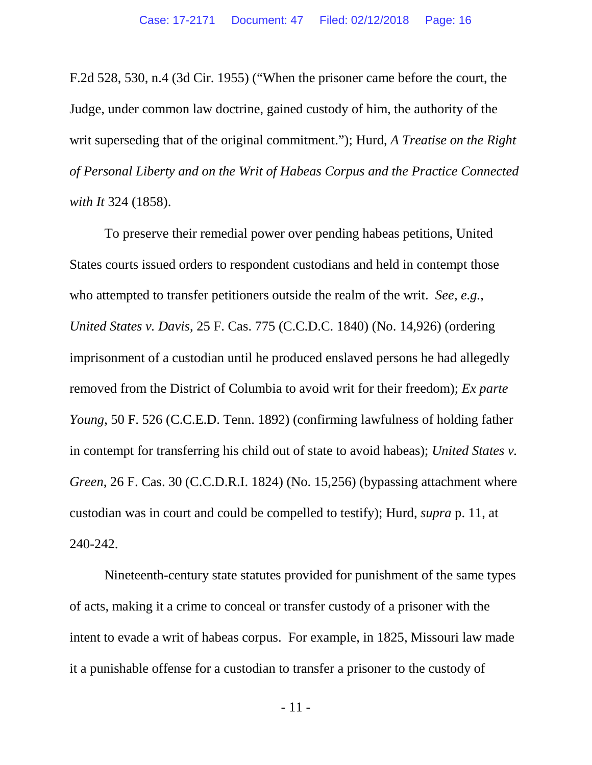F.2d 528, 530, n.4 (3d Cir. 1955) ("When the prisoner came before the court, the Judge, under common law doctrine, gained custody of him, the authority of the writ superseding that of the original commitment."); Hurd, *A Treatise on the Right of Personal Liberty and on the Writ of Habeas Corpus and the Practice Connected with It* 324 (1858).

To preserve their remedial power over pending habeas petitions, United States courts issued orders to respondent custodians and held in contempt those who attempted to transfer petitioners outside the realm of the writ. *See, e.g.*, *United States v. Davis*, 25 F. Cas. 775 (C.C.D.C. 1840) (No. 14,926) (ordering imprisonment of a custodian until he produced enslaved persons he had allegedly removed from the District of Columbia to avoid writ for their freedom); *Ex parte Young*, 50 F. 526 (C.C.E.D. Tenn. 1892) (confirming lawfulness of holding father in contempt for transferring his child out of state to avoid habeas); *United States v. Green*, 26 F. Cas. 30 (C.C.D.R.I. 1824) (No. 15,256) (bypassing attachment where custodian was in court and could be compelled to testify); Hurd, *supra* p. 11, at 240-242.

Nineteenth-century state statutes provided for punishment of the same types of acts, making it a crime to conceal or transfer custody of a prisoner with the intent to evade a writ of habeas corpus. For example, in 1825, Missouri law made it a punishable offense for a custodian to transfer a prisoner to the custody of

- 11 -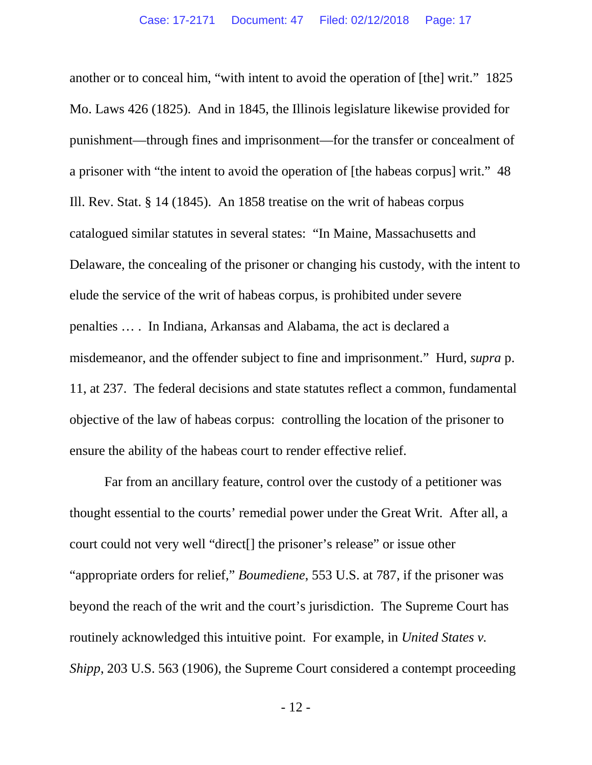another or to conceal him, "with intent to avoid the operation of [the] writ." 1825 Mo. Laws 426 (1825). And in 1845, the Illinois legislature likewise provided for punishment—through fines and imprisonment—for the transfer or concealment of a prisoner with "the intent to avoid the operation of [the habeas corpus] writ." 48 Ill. Rev. Stat. § 14 (1845). An 1858 treatise on the writ of habeas corpus catalogued similar statutes in several states: "In Maine, Massachusetts and Delaware, the concealing of the prisoner or changing his custody, with the intent to elude the service of the writ of habeas corpus, is prohibited under severe penalties … . In Indiana, Arkansas and Alabama, the act is declared a misdemeanor, and the offender subject to fine and imprisonment." Hurd, *supra* p. 11, at 237. The federal decisions and state statutes reflect a common, fundamental objective of the law of habeas corpus: controlling the location of the prisoner to ensure the ability of the habeas court to render effective relief.

Far from an ancillary feature, control over the custody of a petitioner was thought essential to the courts' remedial power under the Great Writ. After all, a court could not very well "direct[] the prisoner's release" or issue other "appropriate orders for relief," *Boumediene*, 553 U.S. at 787, if the prisoner was beyond the reach of the writ and the court's jurisdiction. The Supreme Court has routinely acknowledged this intuitive point. For example, in *United States v. Shipp*, 203 U.S. 563 (1906), the Supreme Court considered a contempt proceeding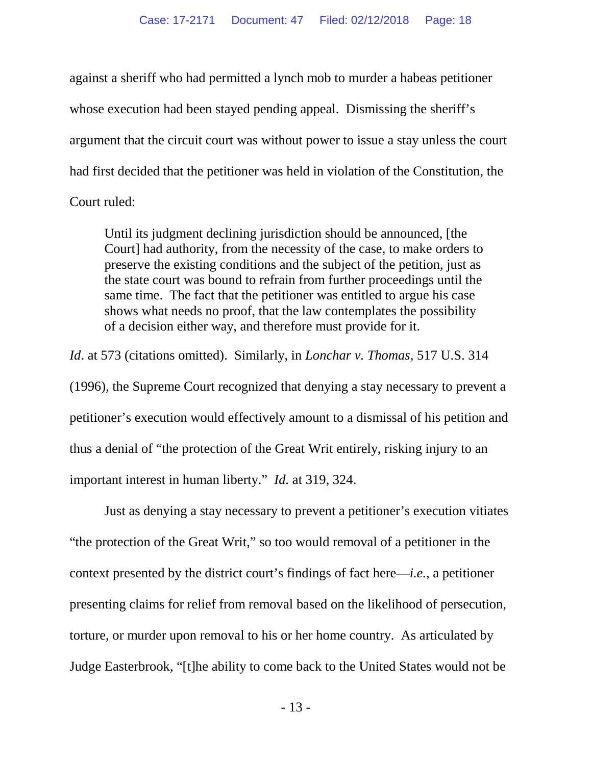against a sheriff who had permitted a lynch mob to murder a habeas petitioner whose execution had been stayed pending appeal. Dismissing the sheriff's argument that the circuit court was without power to issue a stay unless the court had first decided that the petitioner was held in violation of the Constitution, the Court ruled:

Until its judgment declining jurisdiction should be announced, [the Court] had authority, from the necessity of the case, to make orders to preserve the existing conditions and the subject of the petition, just as the state court was bound to refrain from further proceedings until the same time. The fact that the petitioner was entitled to argue his case shows what needs no proof, that the law contemplates the possibility of a decision either way, and therefore must provide for it.

*Id*. at 573 (citations omitted). Similarly, in *Lonchar v. Thomas*, 517 U.S. 314 (1996), the Supreme Court recognized that denying a stay necessary to prevent a petitioner's execution would effectively amount to a dismissal of his petition and thus a denial of "the protection of the Great Writ entirely, risking injury to an important interest in human liberty." *Id.* at 319, 324.

Just as denying a stay necessary to prevent a petitioner's execution vitiates "the protection of the Great Writ," so too would removal of a petitioner in the context presented by the district court's findings of fact here—*i.e.*, a petitioner presenting claims for relief from removal based on the likelihood of persecution, torture, or murder upon removal to his or her home country. As articulated by Judge Easterbrook, "[t]he ability to come back to the United States would not be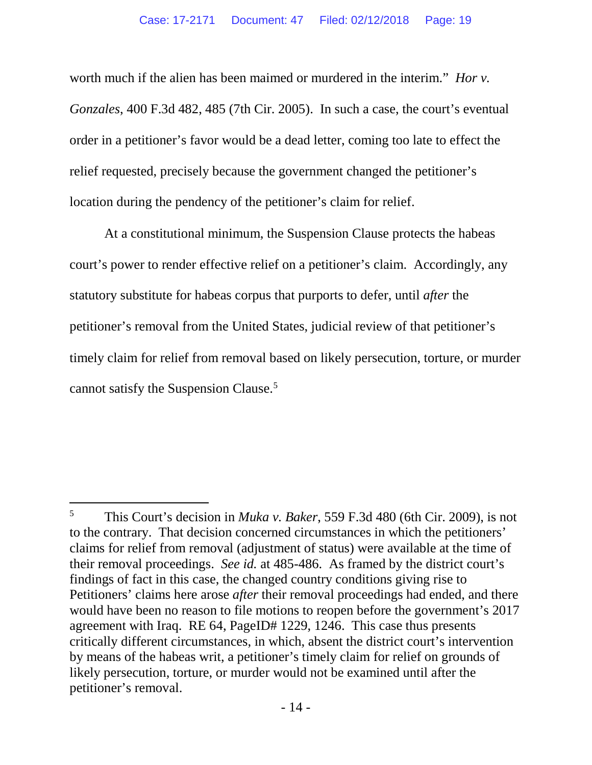worth much if the alien has been maimed or murdered in the interim." *Hor v. Gonzales*, 400 F.3d 482, 485 (7th Cir. 2005). In such a case, the court's eventual order in a petitioner's favor would be a dead letter, coming too late to effect the relief requested, precisely because the government changed the petitioner's location during the pendency of the petitioner's claim for relief.

At a constitutional minimum, the Suspension Clause protects the habeas court's power to render effective relief on a petitioner's claim. Accordingly, any statutory substitute for habeas corpus that purports to defer, until *after* the petitioner's removal from the United States, judicial review of that petitioner's timely claim for relief from removal based on likely persecution, torture, or murder cannot satisfy the Suspension Clause.[5](#page-18-0)

<span id="page-18-0"></span> <sup>5</sup> This Court's decision in *Muka v. Baker*, 559 F.3d 480 (6th Cir. 2009), is not to the contrary. That decision concerned circumstances in which the petitioners' claims for relief from removal (adjustment of status) were available at the time of their removal proceedings. *See id.* at 485-486. As framed by the district court's findings of fact in this case, the changed country conditions giving rise to Petitioners' claims here arose *after* their removal proceedings had ended, and there would have been no reason to file motions to reopen before the government's 2017 agreement with Iraq. RE 64, PageID# 1229, 1246. This case thus presents critically different circumstances, in which, absent the district court's intervention by means of the habeas writ, a petitioner's timely claim for relief on grounds of likely persecution, torture, or murder would not be examined until after the petitioner's removal.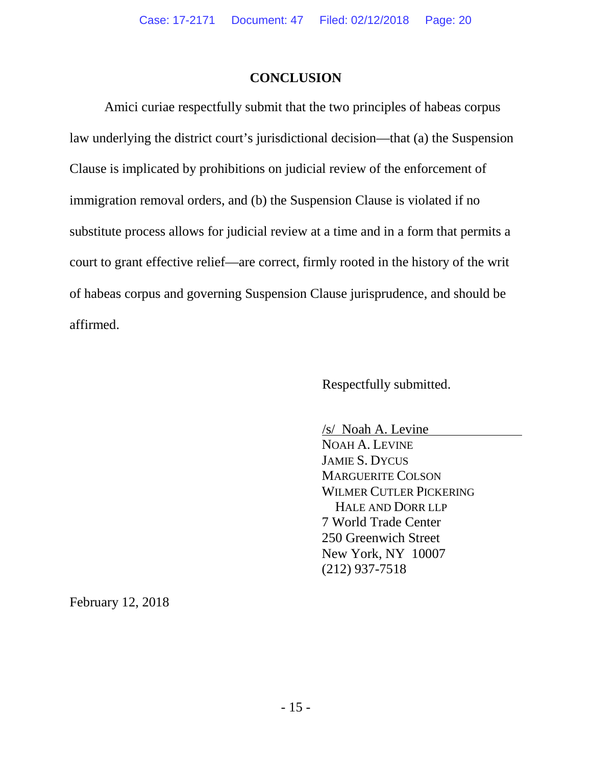# **CONCLUSION**

Amici curiae respectfully submit that the two principles of habeas corpus law underlying the district court's jurisdictional decision—that (a) the Suspension Clause is implicated by prohibitions on judicial review of the enforcement of immigration removal orders, and (b) the Suspension Clause is violated if no substitute process allows for judicial review at a time and in a form that permits a court to grant effective relief—are correct, firmly rooted in the history of the writ of habeas corpus and governing Suspension Clause jurisprudence, and should be affirmed.

Respectfully submitted.

/s/ Noah A. Levine NOAH A. LEVINE JAMIE S. DYCUS MARGUERITE COLSON WILMER CUTLER PICKERING HALE AND DORR LLP 7 World Trade Center 250 Greenwich Street New York, NY 10007 (212) 937-7518

February 12, 2018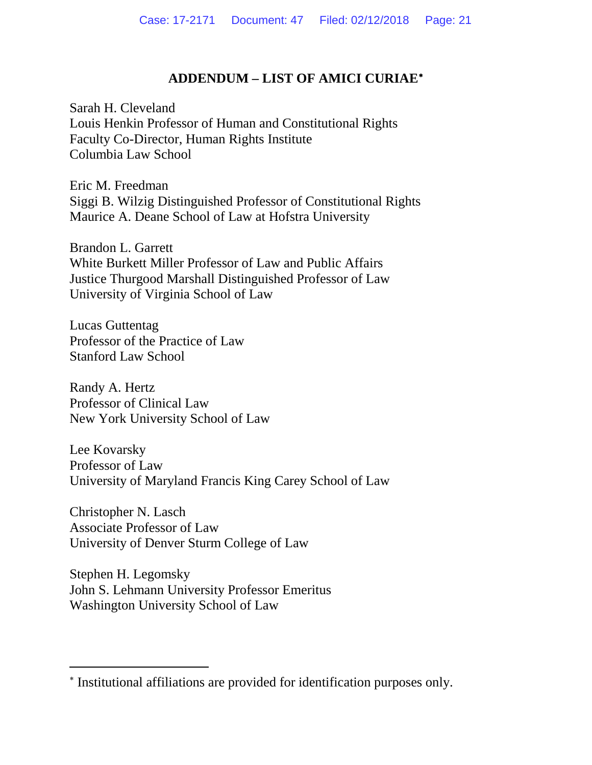# **ADDENDUM – LIST OF AMICI CURIAE**[∗](#page-20-0)

Sarah H. Cleveland Louis Henkin Professor of Human and Constitutional Rights Faculty Co-Director, Human Rights Institute Columbia Law School

Eric M. Freedman Siggi B. Wilzig Distinguished Professor of Constitutional Rights Maurice A. Deane School of Law at Hofstra University

Brandon L. Garrett White Burkett Miller Professor of Law and Public Affairs Justice Thurgood Marshall Distinguished Professor of Law University of Virginia School of Law

Lucas Guttentag Professor of the Practice of Law Stanford Law School

Randy A. Hertz Professor of Clinical Law New York University School of Law

Lee Kovarsky Professor of Law University of Maryland Francis King Carey School of Law

Christopher N. Lasch Associate Professor of Law University of Denver Sturm College of Law

Stephen H. Legomsky John S. Lehmann University Professor Emeritus Washington University School of Law

 $\overline{a}$ 

<span id="page-20-0"></span><sup>∗</sup> Institutional affiliations are provided for identification purposes only.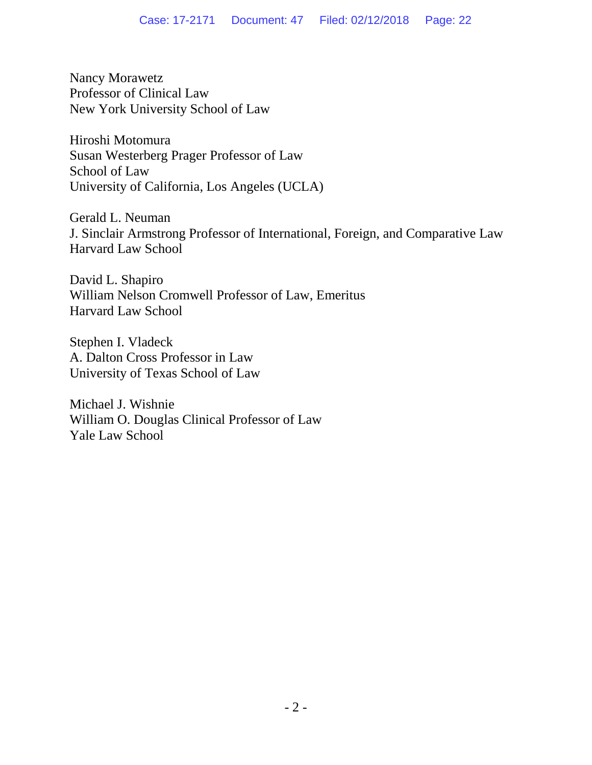Nancy Morawetz Professor of Clinical Law New York University School of Law

Hiroshi Motomura Susan Westerberg Prager Professor of Law School of Law University of California, Los Angeles (UCLA)

Gerald L. Neuman J. Sinclair Armstrong Professor of International, Foreign, and Comparative Law Harvard Law School

David L. Shapiro William Nelson Cromwell Professor of Law, Emeritus Harvard Law School

Stephen I. Vladeck A. Dalton Cross Professor in Law University of Texas School of Law

Michael J. Wishnie William O. Douglas Clinical Professor of Law Yale Law School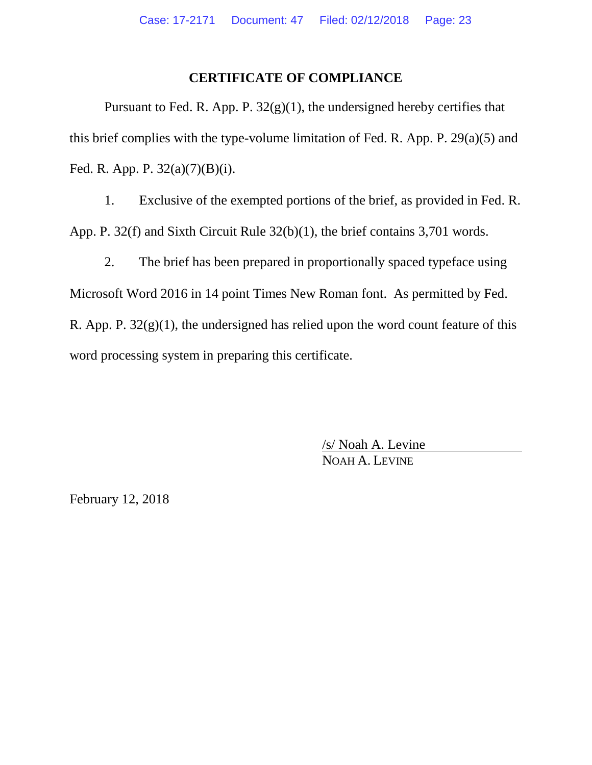### **CERTIFICATE OF COMPLIANCE**

Pursuant to Fed. R. App. P.  $32(g)(1)$ , the undersigned hereby certifies that this brief complies with the type-volume limitation of Fed. R. App. P. 29(a)(5) and Fed. R. App. P. 32(a)(7)(B)(i).

1. Exclusive of the exempted portions of the brief, as provided in Fed. R. App. P. 32(f) and Sixth Circuit Rule 32(b)(1), the brief contains 3,701 words.

2. The brief has been prepared in proportionally spaced typeface using Microsoft Word 2016 in 14 point Times New Roman font. As permitted by Fed. R. App. P.  $32(g)(1)$ , the undersigned has relied upon the word count feature of this word processing system in preparing this certificate.

> /s/ Noah A. Levine NOAH A. LEVINE

February 12, 2018